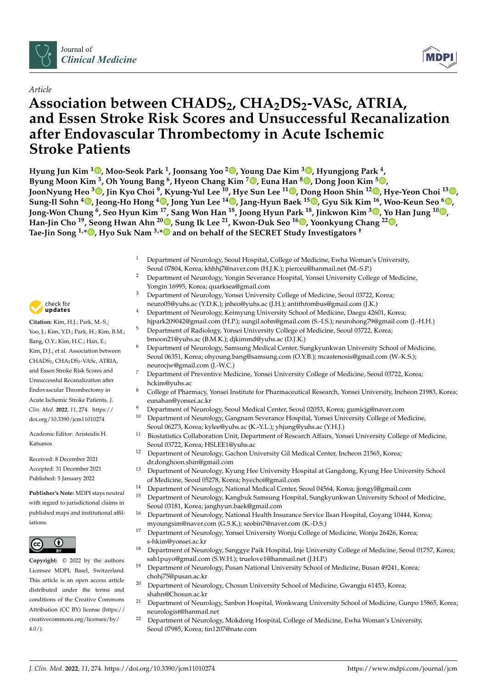

## *Article*

# **Association between CHADS2, CHA2DS2-VASc, ATRIA, and Essen Stroke Risk Scores and Unsuccessful Recanalization after Endovascular Thrombectomy in Acute Ischemic Stroke Patients**

**Hyung Jun Kim <sup>1</sup> [,](https://orcid.org/0000-0002-7518-9739) Moo-Seok Park <sup>1</sup> , Joonsang Yoo <sup>2</sup> [,](https://orcid.org/0000-0003-1169-6798) Young Dae Kim <sup>3</sup> [,](https://orcid.org/0000-0001-5750-2616) Hyungjong Park <sup>4</sup> , Byung Moon Kim <sup>5</sup> , Oh Young Bang <sup>6</sup> , Hyeon Chang Kim <sup>7</sup> [,](https://orcid.org/0000-0001-7867-1240) Euna Han <sup>8</sup> [,](https://orcid.org/0000-0003-2656-7059) Dong Joon Kim <sup>5</sup> [,](https://orcid.org/0000-0002-7035-087X) JoonNyung Heo <sup>3</sup> [,](https://orcid.org/0000-0001-6287-6348) Jin Kyo Choi <sup>9</sup> , Kyung-Yul Lee <sup>10</sup>, Hye Sun Lee <sup>11</sup> [,](https://orcid.org/0000-0001-6328-6948) Dong Hoon Shin <sup>12</sup> [,](https://orcid.org/0000-0002-1103-1983) Hye-Yeon Choi <sup>13</sup> [,](https://orcid.org/0000-0001-6291-3153) Sung-Il Sohn <sup>4</sup> [,](https://orcid.org/0000-0002-6900-1242) Jeong-Ho Hong <sup>4</sup> [,](https://orcid.org/0000-0002-8235-9855) Jong Yun Lee <sup>14</sup> [,](https://orcid.org/0000-0001-5857-5518) Jang-Hyun Baek 1[5](https://orcid.org/0000-0002-6733-0683) , Gyu Sik Kim <sup>16</sup>, Woo-Keun Seo <sup>6</sup> [,](https://orcid.org/0000-0002-4004-8434) Jong-Won Chung <sup>6</sup> , Seo Hyun Kim <sup>17</sup>, Sang Won Han <sup>18</sup>, Joong Hyun Park <sup>18</sup>, Jinkwon Kim <sup>3</sup> [,](https://orcid.org/0000-0003-0156-9736) Yo Han Jung <sup>10</sup> [,](https://orcid.org/0000-0002-3048-4718) Han-Jin Cho <sup>19</sup>, Seong Hwan Ahn <sup>20</sup> [,](https://orcid.org/0000-0002-4778-491X) Sung Ik Lee <sup>21</sup>, Kwon-Duk Seo 1[6](https://orcid.org/0000-0003-3154-8864) , Yoonkyung Chang <sup>22</sup> [,](https://orcid.org/0000-0002-0345-2278) Tae-Jin Song 1,\* [,](https://orcid.org/0000-0002-9937-762X) Hyo Suk Nam 3,[\\*](https://orcid.org/0000-0002-4415-3995) and on behalf of the SECRET Study Investigators †**

- <sup>1</sup> Department of Neurology, Seoul Hospital, College of Medicine, Ewha Woman's University, Seoul 07804, Korea; khhhj7@naver.com (H.J.K.); pierceu@hanmail.net (M.-S.P.)
- <sup>2</sup> Department of Neurology, Yongin Severance Hospital, Yonsei University College of Medicine, Yongin 16995, Korea; quarksea@gmail.com
- <sup>3</sup> Department of Neurology, Yonsei University College of Medicine, Seoul 03722, Korea; neuro05@yuhs.ac (Y.D.K.); jnheo@yuhs.ac (J.H.); antithrombus@gmail.com (J.K.)
- <sup>4</sup> Department of Neurology, Keimyung University School of Medicine, Daegu 42601, Korea;
- hjpark209042@gmail.com (H.P.); sungil.sohn@gmail.com (S.-I.S.); neurohong79@gmail.com (J.-H.H.) <sup>5</sup> Department of Radiology, Yonsei University College of Medicine, Seoul 03722, Korea;
- bmoon21@yuhs.ac (B.M.K.); djkimmd@yuhs.ac (D.J.K.)
- <sup>6</sup> Department of Neurology, Samsung Medical Center, Sungkyunkwan University School of Medicine, Seoul 06351, Korea; ohyoung.bang@samsung.com (O.Y.B.); mcastenosis@gmail.com (W.-K.S.); neurocjw@gmail.com (J.-W.C.)
- <sup>7</sup> Department of Preventive Medicine, Yonsei University College of Medicine, Seoul 03722, Korea; hckim@yuhs.ac
- <sup>8</sup> College of Pharmacy, Yonsei Institute for Pharmaceutical Research, Yonsei University, Incheon 21983, Korea; eunahan@yonsei.ac.kr
- <sup>9</sup> Department of Neurology, Seoul Medical Center, Seoul 02053, Korea; gumicjg@naver.com
- <sup>10</sup> Department of Neurology, Gangnam Severance Hospital, Yonsei University College of Medicine, Seoul 06273, Korea; kylee@yuhs.ac (K.-Y.L.); yhjung@yuhs.ac (Y.H.J.)
- <sup>11</sup> Biostatistics Collaboration Unit, Department of Research Affairs, Yonsei University College of Medicine, Seoul 03722, Korea; HSLEE1@yuhs.ac
- <sup>12</sup> Department of Neurology, Gachon University Gil Medical Center, Incheon 21565, Korea; dr.donghoon.shin@gmail.com
- <sup>13</sup> Department of Neurology, Kyung Hee University Hospital at Gangdong, Kyung Hee University School of Medicine, Seoul 05278, Korea; hyechoi@gmail.com
- <sup>14</sup> Department of Neurology, National Medical Center, Seoul 04564, Korea; jjongyl@gmail.com
- <sup>15</sup> Department of Neurology, Kangbuk Samsung Hospital, Sungkyunkwan University School of Medicine, Seoul 03181, Korea; janghyun.baek@gmail.com
- <sup>16</sup> Department of Neurology, National Health Insurance Service Ilsan Hospital, Goyang 10444, Korea; myoungsim@naver.com (G.S.K.); seobin7@naver.com (K.-D.S.)
- <sup>17</sup> Department of Neurology, Yonsei University Wonju College of Medicine, Wonju 26426, Korea; s-hkim@yonsei.ac.kr
- <sup>18</sup> Department of Neurology, Sanggye Paik Hospital, Inje University College of Medicine, Seoul 01757, Korea; sah1puyo@gmail.com (S.W.H.); truelove1@hanmail.net (J.H.P.)
- <sup>19</sup> Department of Neurology, Pusan National University School of Medicine, Busan 49241, Korea; chohj75@pusan.ac.kr
- <sup>20</sup> Department of Neurology, Chosun University School of Medicine, Gwangju 61453, Korea; shahn@Chosun.ac.kr
- <sup>21</sup> Department of Neurology, Sanbon Hospital, Wonkwang University School of Medicine, Gunpo 15865, Korea; neurologist@hanmail.net
- <sup>22</sup> Department of Neurology, Mokdong Hospital, College of Medicine, Ewha Woman's University, Seoul 07985, Korea; tin1207@nate.com



**Citation:** Kim, H.J.; Park, M.-S.; Yoo, J.; Kim, Y.D.; Park, H.; Kim, B.M.; Bang, O.Y.; Kim, H.C.; Han, E.; Kim, D.J.; et al. Association between CHADS<sub>2</sub>, CHA<sub>2</sub>DS<sub>2</sub>-VASc, ATRIA, and Essen Stroke Risk Scores and Unsuccessful Recanalization after Endovascular Thrombectomy in Acute Ischemic Stroke Patients. *J. Clin. Med.* **2022**, *11*, 274. [https://](https://doi.org/10.3390/jcm11010274) [doi.org/10.3390/jcm11010274](https://doi.org/10.3390/jcm11010274)

Academic Editor: Aristeidis H. Katsanos

Received: 8 December 2021 Accepted: 31 December 2021 Published: 5 January 2022

**Publisher's Note:** MDPI stays neutral with regard to jurisdictional claims in published maps and institutional affiliations.



**Copyright:** © 2022 by the authors. Licensee MDPI, Basel, Switzerland. This article is an open access article distributed under the terms and conditions of the Creative Commons Attribution (CC BY) license [\(https://](https://creativecommons.org/licenses/by/4.0/) [creativecommons.org/licenses/by/](https://creativecommons.org/licenses/by/4.0/) 4.0/).

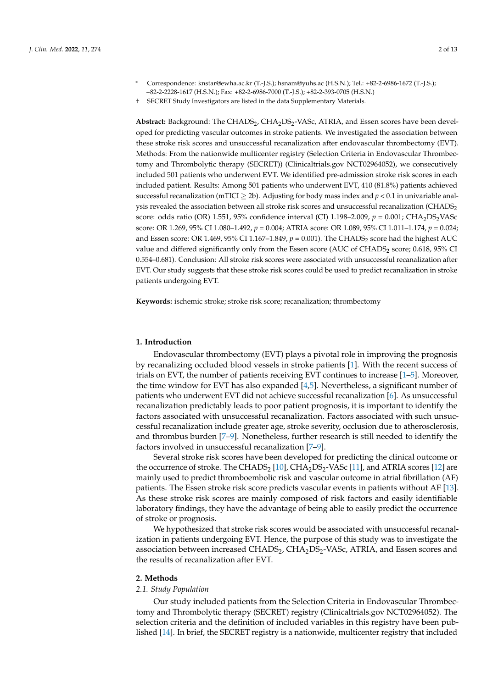- **\*** Correspondence: knstar@ewha.ac.kr (T.-J.S.); hsnam@yuhs.ac (H.S.N.); Tel.: +82-2-6986-1672 (T.-J.S.); +82-2-2228-1617 (H.S.N.); Fax: +82-2-6986-7000 (T.-J.S.); +82-2-393-0705 (H.S.N.)
- † SECRET Study Investigators are listed in the data Supplementary Materials.

Abstract: Background: The CHADS<sub>2</sub>, CHA<sub>2</sub>DS<sub>2</sub>-VASc, ATRIA, and Essen scores have been developed for predicting vascular outcomes in stroke patients. We investigated the association between these stroke risk scores and unsuccessful recanalization after endovascular thrombectomy (EVT). Methods: From the nationwide multicenter registry (Selection Criteria in Endovascular Thrombectomy and Thrombolytic therapy (SECRET)) (Clinicaltrials.gov NCT02964052), we consecutively included 501 patients who underwent EVT. We identified pre-admission stroke risk scores in each included patient. Results: Among 501 patients who underwent EVT, 410 (81.8%) patients achieved successful recanalization (mTICI  $\geq$  2b). Adjusting for body mass index and  $p < 0.1$  in univariable analysis revealed the association between all stroke risk scores and unsuccessful recanalization (CHADS<sub>2</sub>) score: odds ratio (OR) 1.551, 95% confidence interval (CI) 1.198–2.009,  $p = 0.001$ ; CHA<sub>2</sub>DS<sub>2</sub>VASc score: OR 1.269, 95% CI 1.080–1.492, *p* = 0.004; ATRIA score: OR 1.089, 95% CI 1.011–1.174, *p* = 0.024; and Essen score: OR 1.469, 95% CI 1.167-1.849,  $p = 0.001$ ). The CHADS<sub>2</sub> score had the highest AUC value and differed significantly only from the Essen score (AUC of CHADS<sub>2</sub> score; 0.618, 95% CI 0.554–0.681). Conclusion: All stroke risk scores were associated with unsuccessful recanalization after EVT. Our study suggests that these stroke risk scores could be used to predict recanalization in stroke patients undergoing EVT.

**Keywords:** ischemic stroke; stroke risk score; recanalization; thrombectomy

## **1. Introduction**

Endovascular thrombectomy (EVT) plays a pivotal role in improving the prognosis by recanalizing occluded blood vessels in stroke patients [\[1\]](#page-11-0). With the recent success of trials on EVT, the number of patients receiving EVT continues to increase [\[1](#page-11-0)[–5\]](#page-11-1). Moreover, the time window for EVT has also expanded [\[4,](#page-11-2)[5\]](#page-11-1). Nevertheless, a significant number of patients who underwent EVT did not achieve successful recanalization [\[6\]](#page-11-3). As unsuccessful recanalization predictably leads to poor patient prognosis, it is important to identify the factors associated with unsuccessful recanalization. Factors associated with such unsuccessful recanalization include greater age, stroke severity, occlusion due to atherosclerosis, and thrombus burden [\[7](#page-11-4)[–9\]](#page-11-5). Nonetheless, further research is still needed to identify the factors involved in unsuccessful recanalization [\[7–](#page-11-4)[9\]](#page-11-5).

Several stroke risk scores have been developed for predicting the clinical outcome or the occurrence of stroke. The CHADS<sub>2</sub> [\[10\]](#page-11-6), CHA<sub>2</sub>DS<sub>2</sub>-VASc [\[11\]](#page-11-7), and ATRIA scores [\[12\]](#page-11-8) are mainly used to predict thromboembolic risk and vascular outcome in atrial fibrillation (AF) patients. The Essen stroke risk score predicts vascular events in patients without AF [\[13\]](#page-12-0). As these stroke risk scores are mainly composed of risk factors and easily identifiable laboratory findings, they have the advantage of being able to easily predict the occurrence of stroke or prognosis.

We hypothesized that stroke risk scores would be associated with unsuccessful recanalization in patients undergoing EVT. Hence, the purpose of this study was to investigate the association between increased  $CHADS<sub>2</sub>, CHA<sub>2</sub>DS<sub>2</sub>-VASC, ATRIA,$  and Essen scores and the results of recanalization after EVT.

## **2. Methods**

#### *2.1. Study Population*

Our study included patients from the Selection Criteria in Endovascular Thrombectomy and Thrombolytic therapy (SECRET) registry (Clinicaltrials.gov NCT02964052). The selection criteria and the definition of included variables in this registry have been published [\[14\]](#page-12-1). In brief, the SECRET registry is a nationwide, multicenter registry that included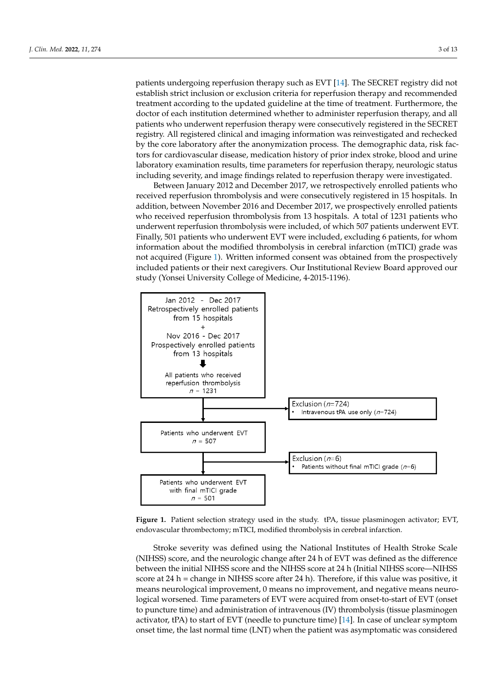patients undergoing reperfusion therapy such as EVT [\[14\]](#page-12-1). The SECRET registry did not establish strict inclusion or exclusion criteria for reperfusion therapy and recommended treatment according to the updated guideline at the time of treatment. Furthermore, the doctor of each institution determined whether to administer reperfusion therapy, and all patients who underwent reperfusion therapy were consecutively registered in the SECRET registry. All registered clinical and imaging information was reinvestigated and rechecked by the core laboratory after the anonymization process. The demographic data, risk factors for cardiovascular disease, medication history of prior index stroke, blood and urine laboratory examination results, time parameters for reperfusion therapy, neurologic status including severity, and image findings related to reperfusion therapy were investigated.

Between January 2012 and December 2017, we retrospectively enrolled patients who received reperfusion thrombolysis and were consecutively registered in 15 hospitals. In addition, between November 2016 and December 2017, we prospectively enrolled patients who received reperfusion thrombolysis from 13 hospitals. A total of 1231 patients who underwent reperfusion thrombolysis were included, of which 507 patients underwent EVT.<br>Finally, 501 patients who underwented for the including 6 patients, for the including 6 patients, for the including for the including f Finally, 501 patients who underwent EVT were included, excluding 6 patients, for whom information about the modified thrombolysis in cerebral infanttion (mTICI) grade mass information about the modified thrombolysis in cerebral infarction (mTICI) grade was not acquired (Figure [1\)](#page-2-0). Written informed consent was obtained from the prospectively included patients or their next caregivers. Our Institutional Review Board approved our study (Yonsei University College of Medicine, 4-2015-1196). our study (Yonsei University College of Medicine, 4-2015-1196).

<span id="page-2-0"></span>

Figure 1. Patient selection strategy used in the study. tPA, tissue plasminogen activator; EVT, endovascular thrombectomy; mTICI, modified thrombolysis in cerebral infarction.

Stroke severity was defined using the National Institutes of Health Stroke Scale Stroke severity was defined using the National Institutes of Health Stroke Scale (NIHSS) score, and the neurologic change after 24 h of EVT was defined as the difference (NIHSS) score, and the neurologic change after 24 h of EVT was defined as the difference between the initial NIHSS score and the NIHSS score at 24 h (Initial NIHSS score—NIHSS between the initial NIHSS score and the NIHSS score at 24 h (Initial NIHSS score—NIHSS score at 24 h = change in NIHSS score after 24 h). Therefore, if this value was positive, it means neurological improvement, 0 means no improvement, and negative means neurological worsened. Time parameters of EVT were acquired from onset-to-start of EVT (onset to puncture time) and administration of intravenous (IV) thrombolysis (tissue plasminogen activator, tPA) to start of EVT (needle to puncture time) [\[14\]](#page-12-1). In case of unclear symptom onset time, the last normal time (LNT) when the patient was asymptomatic was considered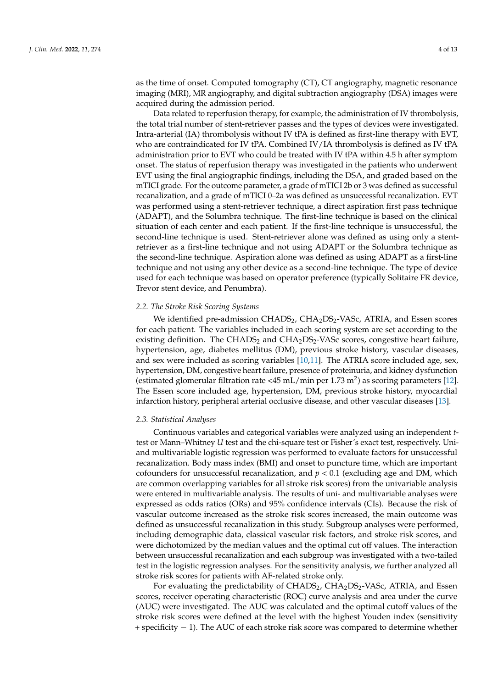as the time of onset. Computed tomography (CT), CT angiography, magnetic resonance imaging (MRI), MR angiography, and digital subtraction angiography (DSA) images were acquired during the admission period.

Data related to reperfusion therapy, for example, the administration of IV thrombolysis, the total trial number of stent-retriever passes and the types of devices were investigated. Intra-arterial (IA) thrombolysis without IV tPA is defined as first-line therapy with EVT, who are contraindicated for IV tPA. Combined IV/IA thrombolysis is defined as IV tPA administration prior to EVT who could be treated with IV tPA within 4.5 h after symptom onset. The status of reperfusion therapy was investigated in the patients who underwent EVT using the final angiographic findings, including the DSA, and graded based on the mTICI grade. For the outcome parameter, a grade of mTICI 2b or 3 was defined as successful recanalization, and a grade of mTICI 0–2a was defined as unsuccessful recanalization. EVT was performed using a stent-retriever technique, a direct aspiration first pass technique (ADAPT), and the Solumbra technique. The first-line technique is based on the clinical situation of each center and each patient. If the first-line technique is unsuccessful, the second-line technique is used. Stent-retriever alone was defined as using only a stentretriever as a first-line technique and not using ADAPT or the Solumbra technique as the second-line technique. Aspiration alone was defined as using ADAPT as a first-line technique and not using any other device as a second-line technique. The type of device used for each technique was based on operator preference (typically Solitaire FR device, Trevor stent device, and Penumbra).

## *2.2. The Stroke Risk Scoring Systems*

We identified pre-admission CHADS<sub>2</sub>, CHA<sub>2</sub>DS<sub>2</sub>-VASc, ATRIA, and Essen scores for each patient. The variables included in each scoring system are set according to the existing definition. The  $CHADS<sub>2</sub>$  and  $CHA<sub>2</sub>DS<sub>2</sub>$ -VASc scores, congestive heart failure, hypertension, age, diabetes mellitus (DM), previous stroke history, vascular diseases, and sex were included as scoring variables [\[10,](#page-11-6)[11\]](#page-11-7). The ATRIA score included age, sex, hypertension, DM, congestive heart failure, presence of proteinuria, and kidney dysfunction (estimated glomerular filtration rate <45 mL/min per 1.73 m<sup>2</sup>) as scoring parameters [\[12\]](#page-11-8). The Essen score included age, hypertension, DM, previous stroke history, myocardial infarction history, peripheral arterial occlusive disease, and other vascular diseases [\[13\]](#page-12-0).

## *2.3. Statistical Analyses*

Continuous variables and categorical variables were analyzed using an independent *t*test or Mann–Whitney *U* test and the chi-square test or Fisher's exact test, respectively. Uniand multivariable logistic regression was performed to evaluate factors for unsuccessful recanalization. Body mass index (BMI) and onset to puncture time, which are important cofounders for unsuccessful recanalization, and  $p < 0.1$  (excluding age and DM, which are common overlapping variables for all stroke risk scores) from the univariable analysis were entered in multivariable analysis. The results of uni- and multivariable analyses were expressed as odds ratios (ORs) and 95% confidence intervals (CIs). Because the risk of vascular outcome increased as the stroke risk scores increased, the main outcome was defined as unsuccessful recanalization in this study. Subgroup analyses were performed, including demographic data, classical vascular risk factors, and stroke risk scores, and were dichotomized by the median values and the optimal cut off values. The interaction between unsuccessful recanalization and each subgroup was investigated with a two-tailed test in the logistic regression analyses. For the sensitivity analysis, we further analyzed all stroke risk scores for patients with AF-related stroke only.

For evaluating the predictability of  $CHADS<sub>2</sub>$ ,  $CHA<sub>2</sub>DS<sub>2</sub>$ -VASc, ATRIA, and Essen scores, receiver operating characteristic (ROC) curve analysis and area under the curve (AUC) were investigated. The AUC was calculated and the optimal cutoff values of the stroke risk scores were defined at the level with the highest Youden index (sensitivity + specificity − 1). The AUC of each stroke risk score was compared to determine whether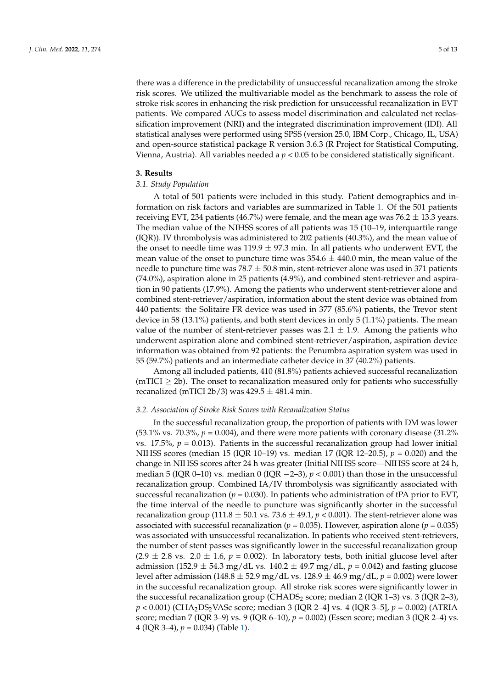there was a difference in the predictability of unsuccessful recanalization among the stroke risk scores. We utilized the multivariable model as the benchmark to assess the role of stroke risk scores in enhancing the risk prediction for unsuccessful recanalization in EVT patients. We compared AUCs to assess model discrimination and calculated net reclassification improvement (NRI) and the integrated discrimination improvement (IDI). All statistical analyses were performed using SPSS (version 25.0, IBM Corp., Chicago, IL, USA) and open-source statistical package R version 3.6.3 (R Project for Statistical Computing, Vienna, Austria). All variables needed a *p* < 0.05 to be considered statistically significant.

## **3. Results**

## *3.1. Study Population*

A total of 501 patients were included in this study. Patient demographics and information on risk factors and variables are summarized in Table [1.](#page-5-0) Of the 501 patients receiving EVT, 234 patients (46.7%) were female, and the mean age was 76.2  $\pm$  13.3 years. The median value of the NIHSS scores of all patients was 15 (10–19, interquartile range (IQR)). IV thrombolysis was administered to 202 patients (40.3%), and the mean value of the onset to needle time was  $119.9 \pm 97.3$  min. In all patients who underwent EVT, the mean value of the onset to puncture time was  $354.6 \pm 440.0$  min, the mean value of the needle to puncture time was  $78.7 \pm 50.8$  min, stent-retriever alone was used in 371 patients (74.0%), aspiration alone in 25 patients (4.9%), and combined stent-retriever and aspiration in 90 patients (17.9%). Among the patients who underwent stent-retriever alone and combined stent-retriever/aspiration, information about the stent device was obtained from 440 patients: the Solitaire FR device was used in 377 (85.6%) patients, the Trevor stent device in 58 (13.1%) patients, and both stent devices in only 5 (1.1%) patients. The mean value of the number of stent-retriever passes was  $2.1 \pm 1.9$ . Among the patients who underwent aspiration alone and combined stent-retriever/aspiration, aspiration device information was obtained from 92 patients: the Penumbra aspiration system was used in 55 (59.7%) patients and an intermediate catheter device in 37 (40.2%) patients.

Among all included patients, 410 (81.8%) patients achieved successful recanalization  $(mTICI \geq 2b)$ . The onset to recanalization measured only for patients who successfully recanalized (mTICI 2b/3) was  $429.5 \pm 481.4$  min.

## *3.2. Association of Stroke Risk Scores with Recanalization Status*

In the successful recanalization group, the proportion of patients with DM was lower (53.1% vs. 70.3%,  $p = 0.004$ ), and there were more patients with coronary disease (31.2%) vs.  $17.5\%$ ,  $p = 0.013$ ). Patients in the successful recanalization group had lower initial NIHSS scores (median 15 (IQR 10–19) vs. median 17 (IQR 12–20.5), *p* = 0.020) and the change in NIHSS scores after 24 h was greater (Initial NIHSS score—NIHSS score at 24 h, median 5 (IQR 0–10) vs. median 0 (IQR  $-2-3$ ),  $p < 0.001$ ) than those in the unsuccessful recanalization group. Combined IA/IV thrombolysis was significantly associated with successful recanalization ( $p = 0.030$ ). In patients who administration of tPA prior to EVT, the time interval of the needle to puncture was significantly shorter in the successful recanalization group (111.8  $\pm$  50.1 vs. 73.6  $\pm$  49.1,  $p < 0.001$ ). The stent-retriever alone was associated with successful recanalization ( $p = 0.035$ ). However, aspiration alone ( $p = 0.035$ ) was associated with unsuccessful recanalization. In patients who received stent-retrievers, the number of stent passes was significantly lower in the successful recanalization group  $(2.9 \pm 2.8 \text{ vs. } 2.0 \pm 1.6, p = 0.002)$ . In laboratory tests, both initial glucose level after admission (152.9  $\pm$  54.3 mg/dL vs. 140.2  $\pm$  49.7 mg/dL,  $p = 0.042$ ) and fasting glucose level after admission (148.8 ± 52.9 mg/dL vs. 128.9 ± 46.9 mg/dL, *p* = 0.002) were lower in the successful recanalization group. All stroke risk scores were significantly lower in the successful recanalization group (CHADS<sub>2</sub> score; median 2 (IQR 1–3) vs. 3 (IQR 2–3), *p* < 0.001) (CHA<sub>2</sub>DS<sub>2</sub>VASc score; median 3 (IQR 2–4] vs. 4 (IQR 3–5], *p* = 0.002) (ATRIA score; median 7 (IQR 3–9) vs. 9 (IQR 6–10), *p* = 0.002) (Essen score; median 3 (IQR 2–4) vs. 4 (IQR 3–4), *p* = 0.034) (Table [1\)](#page-5-0).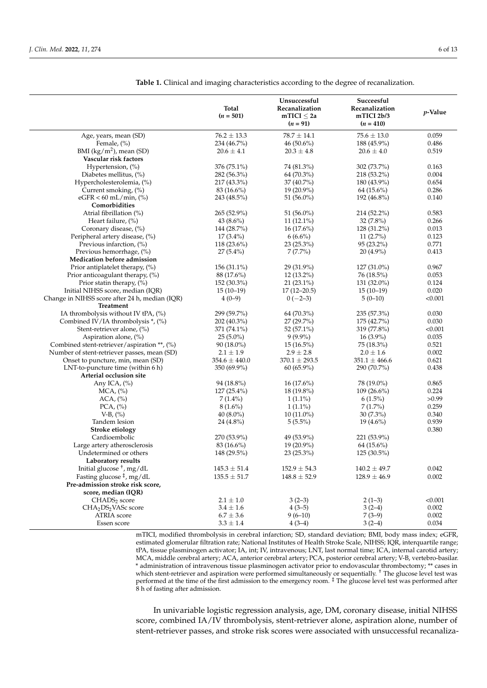|                                                | Total<br>$(n = 501)$ | Unsuccessful<br>Recanalization<br>mTICI $\leq 2a$<br>$(n = 91)$ | Succeesful<br>Recanalization<br>mTICI 2b/3<br>$(n = 410)$ | <i>p</i> -Value |
|------------------------------------------------|----------------------|-----------------------------------------------------------------|-----------------------------------------------------------|-----------------|
| Age, years, mean (SD)                          | $76.2 \pm 13.3$      | $78.7 \pm 14.1$                                                 | $75.6 \pm 13.0$                                           | 0.059           |
| Female, (%)                                    | 234 (46.7%)          | 46 (50.6%)                                                      | 188 (45.9%)                                               | 0.486           |
| BMI $(kg/m2)$ , mean (SD)                      | $20.6 \pm 4.1$       | $20.3 \pm 4.8$                                                  | $20.6 \pm 4.0$                                            | 0.519           |
| Vascular risk factors                          |                      |                                                                 |                                                           |                 |
| Hypertension, $(\%)$                           | $376(75.1\%)$        | 74 (81.3%)                                                      | 302 (73.7%)                                               | 0.163           |
| Diabetes mellitus, (%)                         | 282 (56.3%)          | 64 (70.3%)                                                      | 218 (53.2%)                                               | 0.004           |
| Hypercholesterolemia, (%)                      | 217 (43.3%)          | 37 (40.7%)                                                      | 180 (43.9%)                                               | 0.654           |
| Current smoking, (%)                           | 83 (16.6%)           | 19 (20.9%)                                                      | $64(15.6\%)$                                              | 0.286           |
| $eGFR < 60$ mL/min, $\left(\% \right)$         | 243 (48.5%)          | 51 $(56.0\%)$                                                   | 192 (46.8%)                                               | 0.140           |
| Comorbidities                                  |                      |                                                                 |                                                           |                 |
| Atrial fibrillation (%)                        | 265 (52.9%)          | 51 $(56.0\%)$                                                   | 214 (52.2%)                                               | 0.583           |
| Heart failure, (%)                             | 43 $(8.6\%)$         | $11(12.1\%)$                                                    | $32(7.8\%)$                                               | 0.266           |
| Coronary disease, (%)                          | 144 (28.7%)          | $16(17.6\%)$                                                    | 128 (31.2%)                                               | 0.013           |
| Peripheral artery disease, (%)                 | $17(3.4\%)$          | $6(6.6\%)$                                                      | $11(2.7\%)$                                               | 0.123           |
| Previous infarction, (%)                       | 118 (23.6%)          | $23(25.3\%)$                                                    | 95 (23.2%)                                                | 0.771           |
| Previous hemorrhage, (%)                       | $27(5.4\%)$          | $7(7.7\%)$                                                      | $20(4.9\%)$                                               | 0.413           |
| <b>Medication before admission</b>             |                      |                                                                 |                                                           |                 |
| Prior antiplatelet therapy, $(\%)$             | 156 (31.1%)          | $29(31.9\%)$                                                    | 127 (31.0%)                                               | 0.967           |
| Prior anticoagulant therapy, (%)               | 88 (17.6%)           | 12 (13.2%)                                                      | 76 (18.5%)                                                | 0.053           |
| Prior statin therapy, $(\%)$                   | 152 (30.3%)          | 21 (23.1%)                                                      | 131 (32.0%)                                               | 0.124           |
| Initial NIHSS score, median (IQR)              | $15(10-19)$          | $17(12-20.5)$                                                   | $15(10-19)$                                               | 0.020           |
| Change in NIHSS score after 24 h, median (IQR) | $4(0-9)$             | $0(-2-3)$                                                       | $5(0-10)$                                                 | < 0.001         |
| Treatment                                      |                      |                                                                 |                                                           |                 |
| IA thrombolysis without IV tPA, $(\%)$         | 299 (59.7%)          | 64 (70.3%)                                                      | 235 (57.3%)                                               | 0.030           |
| Combined IV/IA thrombolysis *, (%)             | 202 (40.3%)          | 27 (29.7%)                                                      | 175 (42.7%)                                               | 0.030           |
| Stent-retriever alone, (%)                     | 371 (74.1%)          | 52 (57.1%)                                                      | 319 (77.8%)                                               | < 0.001         |
| Aspiration alone, (%)                          | $25(5.0\%)$          | $9(9.9\%)$                                                      | $16(3.9\%)$                                               | 0.035           |
| Combined stent-retriever/aspiration **, (%)    | $90(18.0\%)$         | $15(16.5\%)$                                                    | 75 (18.3%)                                                | 0.521           |
| Number of stent-retriever passes, mean (SD)    | $2.1 \pm 1.9$        | $2.9 \pm 2.8$                                                   | $2.0 \pm 1.6$                                             | 0.002           |
| Onset to puncture, min, mean (SD)              | $354.6 \pm 440.0$    | $370.1 \pm 293.5$                                               | $351.1 \pm 466.6$                                         | 0.621           |
| LNT-to-puncture time (within 6 h)              | 350 (69.9%)          | $60(65.9\%)$                                                    | 290 (70.7%)                                               | 0.438           |
| Arterial occlusion site                        |                      |                                                                 |                                                           |                 |
| Any ICA, $(\%)$                                | 94 (18.8%)           | $16(17.6\%)$                                                    | 78 (19.0%)                                                | 0.865           |
| $MCA$ , $(\%)$                                 | $127(25.4\%)$        | 18 (19.8%)                                                      | $109(26.6\%)$                                             | 0.224           |
| $ACA, (*)$                                     | $7(1.4\%)$           | $1(1.1\%)$                                                      | $6(1.5\%)$                                                | >0.99           |
| PCA, (%)                                       | $8(1.6\%)$           | $1(1.1\%)$                                                      | $7(1.7\%)$                                                | 0.259           |
| $V-B$ , $(\%)$                                 | 40 $(8.0\%)$         | $10(11.0\%)$                                                    | $30(7.3\%)$                                               | 0.340           |
| Tandem lesion                                  | $24(4.8\%)$          | $5(5.5\%)$                                                      | $19(4.6\%)$                                               | 0.939           |
| Stroke etiology                                |                      |                                                                 |                                                           | 0.380           |
| Cardioembolic                                  | 270 (53.9%)          | 49 (53.9%)                                                      | 221 (53.9%)                                               |                 |
| Large artery atherosclerosis                   | $83(16.6\%)$         | 19 (20.9%)                                                      | 64 (15.6%)                                                |                 |
| Undetermined or others                         | 148 (29.5%)          | 23 (25.3%)                                                      | 125 (30.5%)                                               |                 |
| Laboratory results                             |                      |                                                                 |                                                           |                 |
| Initial glucose $†$ , mg/dL                    | $145.3 \pm 51.4$     | $152.9 \pm 54.3$                                                | $140.2 \pm 49.7$                                          | 0.042           |
| Fasting glucose <sup>‡</sup> , mg/dL           | $135.5 \pm 51.7$     | $148.8 \pm 52.9$                                                | $128.9 \pm 46.9$                                          | 0.002           |
| Pre-admission stroke risk score,               |                      |                                                                 |                                                           |                 |
| score, median (IQR)                            |                      |                                                                 |                                                           |                 |
| CHADS <sub>2</sub> score                       | $2.1 \pm 1.0$        | $3(2-3)$                                                        | $2(1-3)$                                                  | < 0.001         |
| CHA <sub>2</sub> DS <sub>2</sub> VASc score    | $3.4 \pm 1.6$        | $4(3-5)$                                                        | $3(2-4)$                                                  | 0.002           |
| <b>ATRIA</b> score                             | $6.7 \pm 3.6$        | $9(6-10)$                                                       | $7(3-9)$                                                  | 0.002           |
| Essen score                                    | $3.3 \pm 1.4$        |                                                                 |                                                           | 0.034           |
|                                                |                      | $4(3-4)$                                                        | $3(2-4)$                                                  |                 |

<span id="page-5-0"></span>**Table 1.** Clinical and imaging characteristics according to the degree of recanalization.

mTICI, modified thrombolysis in cerebral infarction; SD, standard deviation; BMI, body mass index; eGFR, estimated glomerular filtration rate; National Institutes of Health Stroke Scale, NIHSS; IQR, interquartile range; tPA, tissue plasminogen activator; IA, int; IV, intravenous; LNT, last normal time; ICA, internal carotid artery; MCA, middle cerebral artery; ACA, anterior cerebral artery; PCA, posterior cerebral artery; V-B, vertebro-basilar. \* administration of intravenous tissue plasminogen activator prior to endovascular thrombectomy; \*\* cases in which stent-retriever and aspiration were performed simultaneously or sequentially. † The glucose level test was performed at the time of the first admission to the emergency room. <sup>‡</sup> The glucose level test was performed after 8 h of fasting after admission.

In univariable logistic regression analysis, age, DM, coronary disease, initial NIHSS score, combined IA/IV thrombolysis, stent-retriever alone, aspiration alone, number of stent-retriever passes, and stroke risk scores were associated with unsuccessful recanaliza-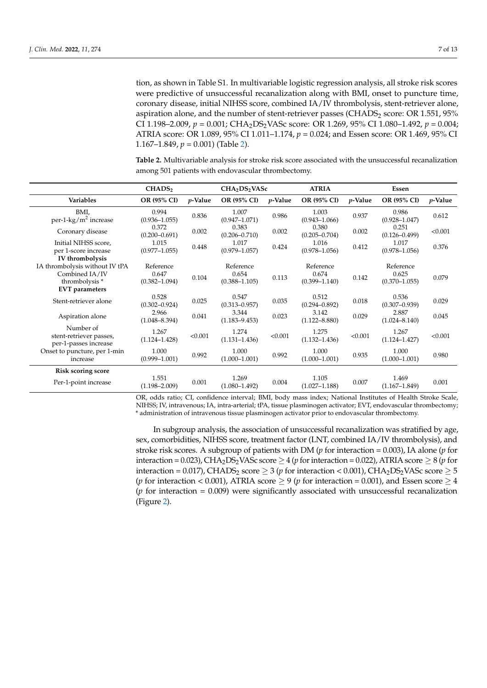tion, as shown in Table S1. In multivariable logistic regression analysis, all stroke risk scores were predictive of unsuccessful recanalization along with BMI, onset to puncture time, coronary disease, initial NIHSS score, combined IA/IV thrombolysis, stent-retriever alone, aspiration alone, and the number of stent-retriever passes (CHADS<sub>2</sub> score: OR 1.551, 95%) CI 1.198–2.009, *p* = 0.001; CHA2DS2VASc score: OR 1.269, 95% CI 1.080–1.492, *p* = 0.004; ATRIA score: OR 1.089, 95% CI 1.011–1.174, *p* = 0.024; and Essen score: OR 1.469, 95% CI 1.167–1.849, *p* = 0.001) (Table [2\)](#page-6-0).

<span id="page-6-0"></span>**Table 2.** Multivariable analysis for stroke risk score associated with the unsuccessful recanalization among 501 patients with endovascular thrombectomy.

|                                                                    | CHADS <sub>2</sub>                      | CHA <sub>2</sub> DS <sub>2</sub> VASc |                                         | <b>ATRIA</b> |                                         | Essen      |                                         |            |
|--------------------------------------------------------------------|-----------------------------------------|---------------------------------------|-----------------------------------------|--------------|-----------------------------------------|------------|-----------------------------------------|------------|
| Variables                                                          | OR (95% CI)                             | $p$ -Value                            | OR (95% CI)                             | $p$ -Value   | OR (95% CI)                             | $p$ -Value | OR (95% CI)                             | $p$ -Value |
| BMI,<br>per-1- $\text{kg/m}^2$ increase                            | 0.994<br>$(0.936 - 1.055)$              | 0.836                                 | 1.007<br>$(0.947 - 1.071)$              | 0.986        | 1.003<br>$(0.943 - 1.066)$              | 0.937      | 0.986<br>$(0.928 - 1.047)$              | 0.612      |
| Coronary disease                                                   | 0.372<br>$(0.200 - 0.691)$              | 0.002                                 | 0.383<br>$(0.206 - 0.710)$              | 0.002        | 0.380<br>$(0.205 - 0.704)$              | 0.002      | 0.251<br>$(0.126 - 0.499)$              | < 0.001    |
| Initial NIHSS score,<br>per 1-score increase                       | 1.015<br>$(0.977 - 1.055)$              | 0.448                                 | 1.017<br>$(0.979 - 1.057)$              | 0.424        | 1.016<br>$(0.978 - 1.056)$              | 0.412      | 1.017<br>$(0.978 - 1.056)$              | 0.376      |
| IV thrombolysis                                                    |                                         |                                       |                                         |              |                                         |            |                                         |            |
| IA thrombolysis without IV tPA<br>Combined IA/IV<br>thrombolysis * | Reference<br>0.647<br>$(0.382 - 1.094)$ | 0.104                                 | Reference<br>0.654<br>$(0.388 - 1.105)$ | 0.113        | Reference<br>0.674<br>$(0.399 - 1.140)$ | 0.142      | Reference<br>0.625<br>$(0.370 - 1.055)$ | 0.079      |
| <b>EVT</b> parameters<br>Stent-retriever alone                     | 0.528<br>$(0.302 - 0.924)$              | 0.025                                 | 0.547<br>$(0.313 - 0.957)$              | 0.035        | 0.512<br>$(0.294 - 0.892)$              | 0.018      | 0.536<br>$(0.307 - 0.939)$              | 0.029      |
| Aspiration alone                                                   | 2.966<br>$(1.048 - 8.394)$              | 0.041                                 | 3.344<br>$(1.183 - 9.453)$              | 0.023        | 3.142<br>$(1.122 - 8.880)$              | 0.029      | 2.887<br>$(1.024 - 8.140)$              | 0.045      |
| Number of<br>stent-retriever passes,<br>per-1-passes increase      | 1.267<br>$(1.124 - 1.428)$              | < 0.001                               | 1.274<br>$(1.131 - 1.436)$              | < 0.001      | 1.275<br>$(1.132 - 1.436)$              | < 0.001    | 1.267<br>$(1.124 - 1.427)$              | < 0.001    |
| Onset to puncture, per 1-min<br>increase                           | 1.000<br>$(0.999 - 1.001)$              | 0.992                                 | 1.000<br>$(1.000 - 1.001)$              | 0.992        | 1.000<br>$(1.000 - 1.001)$              | 0.935      | 1.000<br>$(1.000 - 1.001)$              | 0.980      |
| <b>Risk scoring score</b>                                          |                                         |                                       |                                         |              |                                         |            |                                         |            |
| Per-1-point increase                                               | 1.551<br>$(1.198 - 2.009)$              | 0.001                                 | 1.269<br>$(1.080 - 1.492)$              | 0.004        | 1.105<br>$(1.027 - 1.188)$              | 0.007      | 1.469<br>$(1.167 - 1.849)$              | 0.001      |

OR, odds ratio; CI, confidence interval; BMI, body mass index; National Institutes of Health Stroke Scale, NIHSS; IV, intravenous; IA, intra-arterial; tPA, tissue plasminogen activator; EVT, endovascular thrombectomy; \* administration of intravenous tissue plasminogen activator prior to endovascular thrombectomy.

In subgroup analysis, the association of unsuccessful recanalization was stratified by age, sex, comorbidities, NIHSS score, treatment factor (LNT, combined IA/IV thrombolysis), and stroke risk scores. A subgroup of patients with DM (*p* for interaction = 0.003), IA alone (*p* for interaction =  $0.023$ ), CHA<sub>2</sub>DS<sub>2</sub>VASc score  $\geq$  4 (*p* for interaction = 0.022), ATRIA score  $\geq$  8 (*p* for interaction = 0.017), CHADS<sub>2</sub> score  $\geq$  3 (*p* for interaction < 0.001), CHA<sub>2</sub>DS<sub>2</sub>VASc score  $\geq$  5 (*p* for interaction < 0.001), ATRIA score > 9 (*p* for interaction = 0.001), and Essen score > 4  $(p \text{ for interaction} = 0.009)$  were significantly associated with unsuccessful recanalization (Figure [2\)](#page-7-0).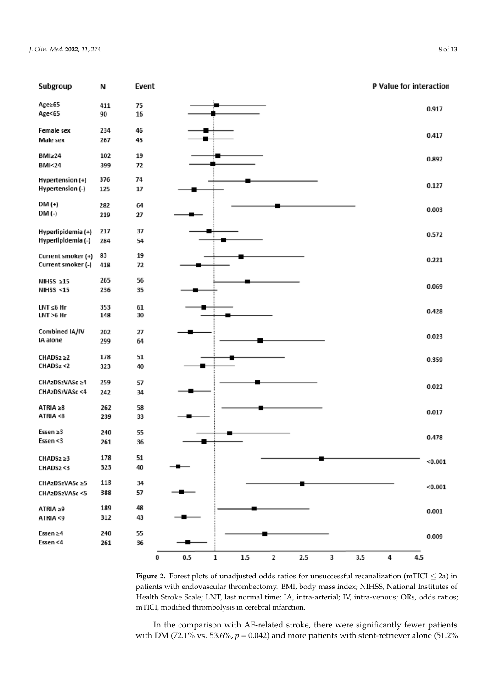<span id="page-7-0"></span>

**Figure 2.** Forest plots of unadjusted odds ratios for unsuccessful recanalization (mTICI ≤ 2a) in patients with endovascular thrombectomy. BMI, body mass index; NIHSS, National Institutes of Health Stroke Scale; LNT, last normal time; IA, intra-arterial; IV, intra-venous; ORs, odds ratios; Health Stroke Scale; LNT, last normal time; IA, intra-arterial; IV, intra-venous; ORs, odds ratios; mTICI, modified thrombolysis in cerebral infarction. mTICI, modified thrombolysis in cerebral infarction.

In the comparison with AF-related stroke, there were significantly fewer patients with DM (72.1% vs. 53.6%,  $p = 0.042$ ) and more patients with stent-retriever alone (51.2%)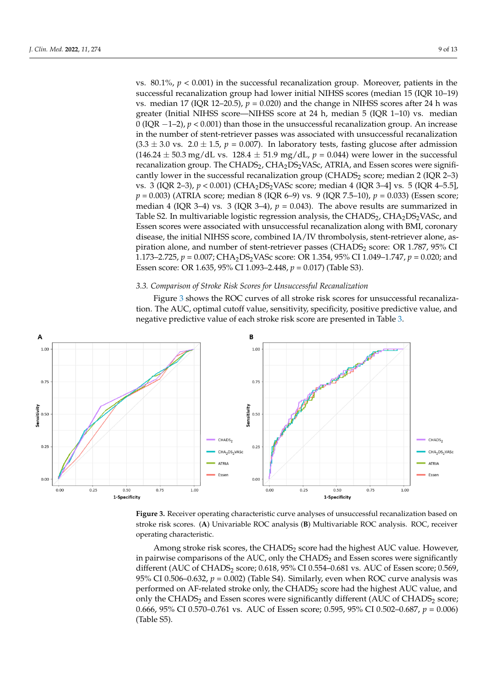vs.  $80.1\%$ ,  $p < 0.001$ ) in the successful recanalization group. Moreover, patients in the successful recanalization group had lower initial NIHSS scores (median 15 (IQR 10–19) vs. median 17 (IQR 12–20.5),  $p = 0.020$ ) and the change in NIHSS scores after 24 h was greater (Initial NIHSS score—NIHSS score at 24 h, median 5 (IQR 1–10) vs. median  $\stackrel{\sim}{O}$  (IQR −1–2), *p* < 0.001) than those in the unsuccessful recanalization group. An increase in the number of stent-retriever passes was associated with unsuccessful recanalization  $(3.3 \pm 3.0 \text{ vs. } 2.0 \pm 1.5, p = 0.007)$ . In laboratory tests, fasting glucose after admission  $(146.24 \pm 50.3 \text{ mg/dL vs. } 128.4 \pm 51.9 \text{ mg/dL}, p = 0.044)$  were lower in the successful recanalization group. The CHADS<sub>2</sub>, CHA<sub>2</sub>DS<sub>2</sub>VASc, ATRIA, and Essen scores were significantly lower in the successful recanalization group (CHADS<sub>2</sub> score; median 2 (IQR 2-3) vs. 3 (IQR 2-3),  $p < 0.001$ ) (CHA<sub>2</sub>DS<sub>2</sub>VASc score; median 4 (IQR 3-4] vs. 5 (IQR 4-5.5],  $p = 0.003$ ) (ATRIA score; median 8 (IQR 6–9) vs. 9 (IQR 7.5–10),  $p = 0.033$ ) (Essen score; median 4 (IQR 3–4) vs. 3 (IQR 3–4),  $p = 0.043$ ). The above results are summarized in Table S2. In multivariable logistic regression analysis, the CHADS<sub>2</sub>, CHA<sub>2</sub>DS<sub>2</sub>VASc, and Essen scores were associated with unsuccessful recanalization along with BMI, coronary disease, the initial NIHSS score, combined IA/IV thrombolysis, stent-retriever alone, aspiration alone, and number of stent-retriever passes (CHADS<sub>2</sub> score: OR 1.787, 95% CI .<br>1.173–2.725*, p* = 0.007; CHA<sub>2</sub>DS<sub>2</sub>VASc score: OR 1.354, 95% CI 1.049–1.747, *p* = 0.020; and Essen score: OR 1.635, 95% CI 1.093–2.448, *p* = 0.017) (Table S3). 95% CI 1.093‒2.448, *p =* 0.017) (Table S3).

In the comparison with AF-related stroke, there were significantly fewer patients for  $\mathcal{L}_{\mathcal{A}}$ 

# *3.3. Comparison of Stroke Risk Scores for Unsuccessful Recanalization 3.3. Comparison of Stroke Risk Scores for Unsuccessful Recanalization*

<span id="page-8-0"></span>Figure 3 shows the ROC curves of all stroke risk scores for unsuccessful recanaliza-Figur[e 3](#page-8-0) shows the ROC curves of all stroke risk scores for unsuccessful recanalization. The AUC, optimal cutoff value, sensitivity, specificity, positive predictive value, and tion. The AUC, optimal cutoff value, sensitivity, specificity, positive predictive value, and negative predictive value of each stroke risk score are presented in Table [3.](#page-9-0) negative predictive value of each stroke risk score are presented in Table 3.



**Figure 3.** Receiver operating characteristic curve analyses of unsuccessful recanalization based on **Figure 3.** Receiver operating characteristic curve analyses of unsuccessful recanalization based on stroke risk scores. (A) Univariable ROC analysis (B) Multivariable ROC analysis. ROC, receiver erating characteristic. operating characteristic.

Among stroke risk scores, the CHADS<sub>2</sub> score had the highest AUC value. However, in pairwise comparisons of the AUC, only the CHADS<sub>2</sub> and Essen scores were significantly different (AUC of CHADS<sub>2</sub> score; 0.618, 95% CI 0.554–0.681 vs. AUC of Essen score; 0.569, 95% CI 0.506–0.632,  $p = 0.002$ ) (Table S4). Similarly, even when ROC curve analysis was performed on AF-related stroke only, the CHADS<sub>2</sub> score had the highest AUC value, and only the CHADS<sub>2</sub> and Essen scores were significantly different (AUC of CHADS<sub>2</sub> score; 0.666, 95% CI 0.570–0.761 vs. AUC of Essen score; 0.595, 95% CI 0.502–0.687, *p* = 0.006) (Table S5).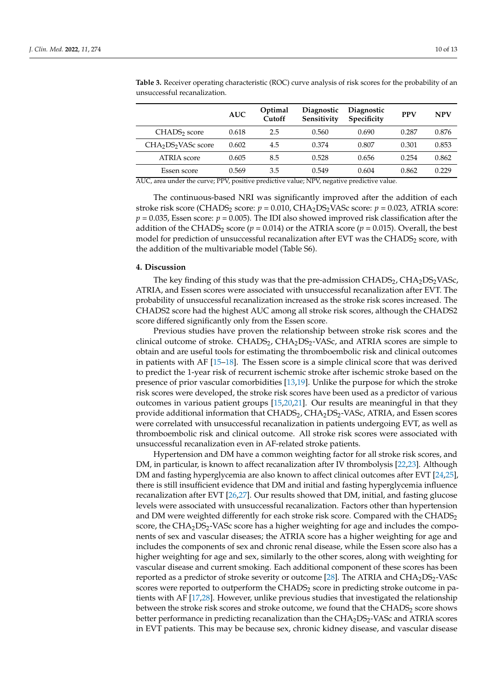|                                             | <b>AUC</b> | Optimal<br>Cutoff | <b>Diagnostic</b><br>Sensitivity | Diagnostic<br>Specificity | <b>PPV</b> | <b>NPV</b> |
|---------------------------------------------|------------|-------------------|----------------------------------|---------------------------|------------|------------|
| CHADS <sub>2</sub> score                    | 0.618      | 2.5               | 0.560                            | 0.690                     | 0.287      | 0.876      |
| CHA <sub>2</sub> DS <sub>2</sub> VASc score | 0.602      | 4.5               | 0.374                            | 0.807                     | 0.301      | 0.853      |
| ATRIA score                                 | 0.605      | 8.5               | 0.528                            | 0.656                     | 0.254      | 0.862      |
| Essen score                                 | 0.569      | 3.5               | 0.549                            | 0.604                     | 0.862      | 0.229      |

<span id="page-9-0"></span>**Table 3.** Receiver operating characteristic (ROC) curve analysis of risk scores for the probability of an unsuccessful recanalization.

AUC, area under the curve; PPV, positive predictive value; NPV, negative predictive value.

The continuous-based NRI was significantly improved after the addition of each stroke risk score (CHADS<sub>2</sub> score:  $p = 0.010$ , CHA<sub>2</sub>DS<sub>2</sub>VASc score:  $p = 0.023$ , ATRIA score:  $p = 0.035$ , Essen score:  $p = 0.005$ ). The IDI also showed improved risk classification after the addition of the CHADS<sub>2</sub> score ( $p = 0.014$ ) or the ATRIA score ( $p = 0.015$ ). Overall, the best model for prediction of unsuccessful recanalization after EVT was the CHADS<sub>2</sub> score, with the addition of the multivariable model (Table S6).

## **4. Discussion**

The key finding of this study was that the pre-admission  $CHADS<sub>2</sub>$ ,  $CHA<sub>2</sub>DS<sub>2</sub>VAS<sub>c</sub>$ , ATRIA, and Essen scores were associated with unsuccessful recanalization after EVT. The probability of unsuccessful recanalization increased as the stroke risk scores increased. The CHADS2 score had the highest AUC among all stroke risk scores, although the CHADS2 score differed significantly only from the Essen score.

Previous studies have proven the relationship between stroke risk scores and the clinical outcome of stroke.  $CHADS<sub>2</sub>, CHA<sub>2</sub>DS<sub>2</sub> - VASC$ , and ATRIA scores are simple to obtain and are useful tools for estimating the thromboembolic risk and clinical outcomes in patients with AF [\[15–](#page-12-2)[18\]](#page-12-3). The Essen score is a simple clinical score that was derived to predict the 1-year risk of recurrent ischemic stroke after ischemic stroke based on the presence of prior vascular comorbidities [\[13,](#page-12-0)[19\]](#page-12-4). Unlike the purpose for which the stroke risk scores were developed, the stroke risk scores have been used as a predictor of various outcomes in various patient groups [\[15,](#page-12-2)[20,](#page-12-5)[21\]](#page-12-6). Our results are meaningful in that they provide additional information that CHADS2, CHA2DS2-VASc, ATRIA, and Essen scores were correlated with unsuccessful recanalization in patients undergoing EVT, as well as thromboembolic risk and clinical outcome. All stroke risk scores were associated with unsuccessful recanalization even in AF-related stroke patients.

Hypertension and DM have a common weighting factor for all stroke risk scores, and DM, in particular, is known to affect recanalization after IV thrombolysis [\[22](#page-12-7)[,23\]](#page-12-8). Although DM and fasting hyperglycemia are also known to affect clinical outcomes after EVT [\[24](#page-12-9)[,25\]](#page-12-10), there is still insufficient evidence that DM and initial and fasting hyperglycemia influence recanalization after EVT [\[26](#page-12-11)[,27\]](#page-12-12). Our results showed that DM, initial, and fasting glucose levels were associated with unsuccessful recanalization. Factors other than hypertension and DM were weighted differently for each stroke risk score. Compared with the CHADS<sub>2</sub> score, the  $CHA<sub>2</sub>DS<sub>2</sub> - VASc$  score has a higher weighting for age and includes the components of sex and vascular diseases; the ATRIA score has a higher weighting for age and includes the components of sex and chronic renal disease, while the Essen score also has a higher weighting for age and sex, similarly to the other scores, along with weighting for vascular disease and current smoking. Each additional component of these scores has been reported as a predictor of stroke severity or outcome [\[28\]](#page-12-13). The ATRIA and  $CHA<sub>2</sub>DS<sub>2</sub>-VASc$ scores were reported to outperform the  $CHADS<sub>2</sub>$  score in predicting stroke outcome in patients with AF [\[17](#page-12-14)[,28\]](#page-12-13). However, unlike previous studies that investigated the relationship between the stroke risk scores and stroke outcome, we found that the  $CHADS<sub>2</sub>$  score shows better performance in predicting recanalization than the  $CHA<sub>2</sub>DS<sub>2</sub> - VASc$  and  $ATRIA$  scores in EVT patients. This may be because sex, chronic kidney disease, and vascular disease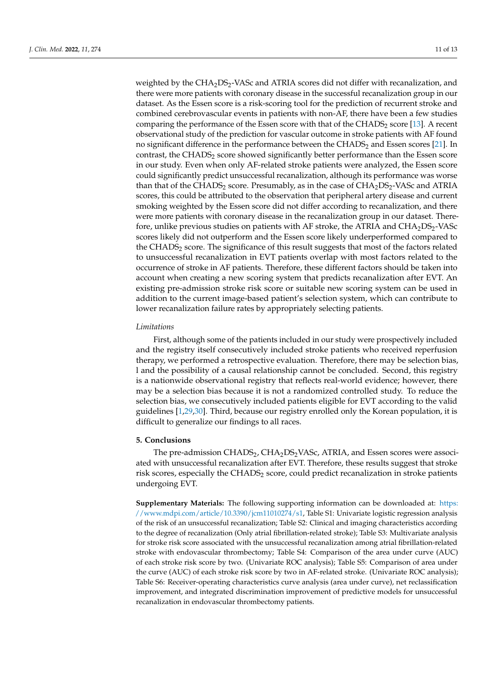weighted by the CHA<sub>2</sub>DS<sub>2</sub>-VASc and ATRIA scores did not differ with recanalization, and there were more patients with coronary disease in the successful recanalization group in our dataset. As the Essen score is a risk-scoring tool for the prediction of recurrent stroke and combined cerebrovascular events in patients with non-AF, there have been a few studies comparing the performance of the Essen score with that of the  $CHADS<sub>2</sub>$  score [\[13\]](#page-12-0). A recent observational study of the prediction for vascular outcome in stroke patients with AF found no significant difference in the performance between the CHADS<sub>2</sub> and Essen scores [\[21\]](#page-12-6). In contrast, the CHADS<sub>2</sub> score showed significantly better performance than the Essen score in our study. Even when only AF-related stroke patients were analyzed, the Essen score could significantly predict unsuccessful recanalization, although its performance was worse than that of the CHADS<sub>2</sub> score. Presumably, as in the case of  $CHA<sub>2</sub>DS<sub>2</sub>-VASc$  and ATRIA scores, this could be attributed to the observation that peripheral artery disease and current smoking weighted by the Essen score did not differ according to recanalization, and there were more patients with coronary disease in the recanalization group in our dataset. Therefore, unlike previous studies on patients with AF stroke, the ATRIA and CHA<sub>2</sub>DS<sub>2</sub>-VASc scores likely did not outperform and the Essen score likely underperformed compared to the  $CHADS<sub>2</sub>$  score. The significance of this result suggests that most of the factors related to unsuccessful recanalization in EVT patients overlap with most factors related to the occurrence of stroke in AF patients. Therefore, these different factors should be taken into account when creating a new scoring system that predicts recanalization after EVT. An existing pre-admission stroke risk score or suitable new scoring system can be used in addition to the current image-based patient's selection system, which can contribute to lower recanalization failure rates by appropriately selecting patients.

## *Limitations*

First, although some of the patients included in our study were prospectively included and the registry itself consecutively included stroke patients who received reperfusion therapy, we performed a retrospective evaluation. Therefore, there may be selection bias, l and the possibility of a causal relationship cannot be concluded. Second, this registry is a nationwide observational registry that reflects real-world evidence; however, there may be a selection bias because it is not a randomized controlled study. To reduce the selection bias, we consecutively included patients eligible for EVT according to the valid guidelines [\[1,](#page-11-0)[29,](#page-12-15)[30\]](#page-12-16). Third, because our registry enrolled only the Korean population, it is difficult to generalize our findings to all races.

## **5. Conclusions**

The pre-admission CHADS<sub>2</sub>, CHA<sub>2</sub>DS<sub>2</sub>VASc, ATRIA, and Essen scores were associ-ated with unsuccessful recanalization after EVT. Therefore, these results suggest that stroke risk scores, especially the  $CHADS<sub>2</sub>$  score, could predict recanalization in stroke patients undergoing EVT.

**Supplementary Materials:** The following supporting information can be downloaded at: [https:](https://www.mdpi.com/article/10.3390/jcm11010274/s1) [//www.mdpi.com/article/10.3390/jcm11010274/s1,](https://www.mdpi.com/article/10.3390/jcm11010274/s1) Table S1: Univariate logistic regression analysis of the risk of an unsuccessful recanalization; Table S2: Clinical and imaging characteristics according to the degree of recanalization (Only atrial fibrillation-related stroke); Table S3: Multivariate analysis for stroke risk score associated with the unsuccessful recanalization among atrial fibrillation-related stroke with endovascular thrombectomy; Table S4: Comparison of the area under curve (AUC) of each stroke risk score by two. (Univariate ROC analysis); Table S5: Comparison of area under the curve (AUC) of each stroke risk score by two in AF-related stroke. (Univariate ROC analysis); Table S6: Receiver-operating characteristics curve analysis (area under curve), net reclassification improvement, and integrated discrimination improvement of predictive models for unsuccessful recanalization in endovascular thrombectomy patients.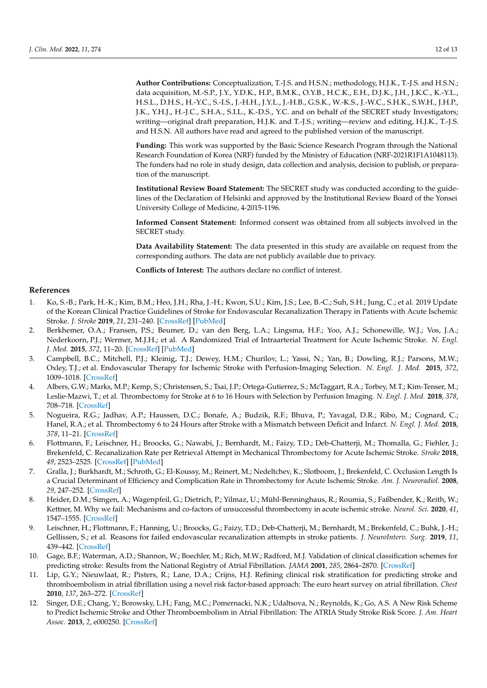**Author Contributions:** Conceptualization, T.-J.S. and H.S.N.; methodology, H.J.K., T.-J.S. and H.S.N.; data acquisition, M.-S.P., J.Y., Y.D.K., H.P., B.M.K., O.Y.B., H.C.K., E.H., D.J.K., J.H., J.K.C., K.-Y.L., H.S.L., D.H.S., H.-Y.C., S.-I.S., J.-H.H., J.Y.L., J.-H.B., G.S.K., W.-K.S., J.-W.C., S.H.K., S.W.H., J.H.P., J.K., Y.H.J., H.-J.C., S.H.A., S.I.L., K.-D.S., Y.C. and on behalf of the SECRET study Investigators; writing—original draft preparation, H.J.K. and T.-J.S.; writing—review and editing, H.J.K., T.-J.S. and H.S.N. All authors have read and agreed to the published version of the manuscript.

**Funding:** This work was supported by the Basic Science Research Program through the National Research Foundation of Korea (NRF) funded by the Ministry of Education (NRF-2021R1F1A1048113). The funders had no role in study design, data collection and analysis, decision to publish, or preparation of the manuscript.

**Institutional Review Board Statement:** The SECRET study was conducted according to the guidelines of the Declaration of Helsinki and approved by the Institutional Review Board of the Yonsei University College of Medicine, 4-2015-1196.

**Informed Consent Statement:** Informed consent was obtained from all subjects involved in the SECRET study.

**Data Availability Statement:** The data presented in this study are available on request from the corresponding authors. The data are not publicly available due to privacy.

**Conflicts of Interest:** The authors declare no conflict of interest.

## **References**

- <span id="page-11-0"></span>1. Ko, S.-B.; Park, H.-K.; Kim, B.M.; Heo, J.H.; Rha, J.-H.; Kwon, S.U.; Kim, J.S.; Lee, B.-C.; Suh, S.H.; Jung, C.; et al. 2019 Update of the Korean Clinical Practice Guidelines of Stroke for Endovascular Recanalization Therapy in Patients with Acute Ischemic Stroke. *J. Stroke* **2019**, *21*, 231–240. [\[CrossRef\]](http://doi.org/10.5853/jos.2019.00024) [\[PubMed\]](http://www.ncbi.nlm.nih.gov/pubmed/30991800)
- 2. Berkhemer, O.A.; Fransen, P.S.; Beumer, D.; van den Berg, L.A.; Lingsma, H.F.; Yoo, A.J.; Schonewille, W.J.; Vos, J.A.; Nederkoorn, P.J.; Wermer, M.J.H.; et al. A Randomized Trial of Intraarterial Treatment for Acute Ischemic Stroke. *N. Engl. J. Med.* **2015**, *372*, 11–20. [\[CrossRef\]](http://doi.org/10.1056/NEJMoa1411587) [\[PubMed\]](http://www.ncbi.nlm.nih.gov/pubmed/25517348)
- 3. Campbell, B.C.; Mitchell, P.J.; Kleinig, T.J.; Dewey, H.M.; Churilov, L.; Yassi, N.; Yan, B.; Dowling, R.J.; Parsons, M.W.; Oxley, T.J.; et al. Endovascular Therapy for Ischemic Stroke with Perfusion-Imaging Selection. *N. Engl. J. Med.* **2015**, *372*, 1009–1018. [\[CrossRef\]](http://doi.org/10.1056/NEJMoa1414792)
- <span id="page-11-2"></span>4. Albers, G.W.; Marks, M.P.; Kemp, S.; Christensen, S.; Tsai, J.P.; Ortega-Gutierrez, S.; McTaggart, R.A.; Torbey, M.T.; Kim-Tenser, M.; Leslie-Mazwi, T.; et al. Thrombectomy for Stroke at 6 to 16 Hours with Selection by Perfusion Imaging. *N. Engl. J. Med.* **2018**, *378*, 708–718. [\[CrossRef\]](http://doi.org/10.1056/NEJMoa1713973)
- <span id="page-11-1"></span>5. Nogueira, R.G.; Jadhav, A.P.; Haussen, D.C.; Bonafe, A.; Budzik, R.F.; Bhuva, P.; Yavagal, D.R.; Ribo, M.; Cognard, C.; Hanel, R.A.; et al. Thrombectomy 6 to 24 Hours after Stroke with a Mismatch between Deficit and Infarct. *N. Engl. J. Med.* **2018**, *378*, 11–21. [\[CrossRef\]](http://doi.org/10.1056/NEJMoa1706442)
- <span id="page-11-3"></span>6. Flottmann, F.; Leischner, H.; Broocks, G.; Nawabi, J.; Bernhardt, M.; Faizy, T.D.; Deb-Chatterji, M.; Thomalla, G.; Fiehler, J.; Brekenfeld, C. Recanalization Rate per Retrieval Attempt in Mechanical Thrombectomy for Acute Ischemic Stroke. *Stroke* **2018**, *49*, 2523–2525. [\[CrossRef\]](http://doi.org/10.1161/STROKEAHA.118.022737) [\[PubMed\]](http://www.ncbi.nlm.nih.gov/pubmed/30355115)
- <span id="page-11-4"></span>7. Gralla, J.; Burkhardt, M.; Schroth, G.; El-Koussy, M.; Reinert, M.; Nedeltchev, K.; Slotboom, J.; Brekenfeld, C. Occlusion Length Is a Crucial Determinant of Efficiency and Complication Rate in Thrombectomy for Acute Ischemic Stroke. *Am. J. Neuroradiol.* **2008**, *29*, 247–252. [\[CrossRef\]](http://doi.org/10.3174/ajnr.A0790)
- 8. Heider, D.M.; Simgen, A.; Wagenpfeil, G.; Dietrich, P.; Yilmaz, U.; Mühl-Benninghaus, R.; Roumia, S.; Faßbender, K.; Reith, W.; Kettner, M. Why we fail: Mechanisms and co-factors of unsuccessful thrombectomy in acute ischemic stroke. *Neurol. Sci.* **2020**, *41*, 1547–1555. [\[CrossRef\]](http://doi.org/10.1007/s10072-020-04244-5)
- <span id="page-11-5"></span>9. Leischner, H.; Flottmann, F.; Hanning, U.; Broocks, G.; Faizy, T.D.; Deb-Chatterji, M.; Bernhardt, M.; Brekenfeld, C.; Buhk, J.-H.; Gellissen, S.; et al. Reasons for failed endovascular recanalization attempts in stroke patients. *J. NeuroInterv. Surg.* **2019**, *11*, 439–442. [\[CrossRef\]](http://doi.org/10.1136/neurintsurg-2018-014060)
- <span id="page-11-6"></span>10. Gage, B.F.; Waterman, A.D.; Shannon, W.; Boechler, M.; Rich, M.W.; Radford, M.J. Validation of clinical classification schemes for predicting stroke: Results from the National Registry of Atrial Fibrillation. *JAMA* **2001**, *285*, 2864–2870. [\[CrossRef\]](http://doi.org/10.1001/jama.285.22.2864)
- <span id="page-11-7"></span>11. Lip, G.Y.; Nieuwlaat, R.; Pisters, R.; Lane, D.A.; Crijns, H.J. Refining clinical risk stratification for predicting stroke and thromboembolism in atrial fibrillation using a novel risk factor-based approach: The euro heart survey on atrial fibrillation. *Chest* **2010**, *137*, 263–272. [\[CrossRef\]](http://doi.org/10.1378/chest.09-1584)
- <span id="page-11-8"></span>12. Singer, D.E.; Chang, Y.; Borowsky, L.H.; Fang, M.C.; Pomernacki, N.K.; Udaltsova, N.; Reynolds, K.; Go, A.S. A New Risk Scheme to Predict Ischemic Stroke and Other Thromboembolism in Atrial Fibrillation: The ATRIA Study Stroke Risk Score. *J. Am. Heart Assoc.* **2013**, *2*, e000250. [\[CrossRef\]](http://doi.org/10.1161/JAHA.113.000250)